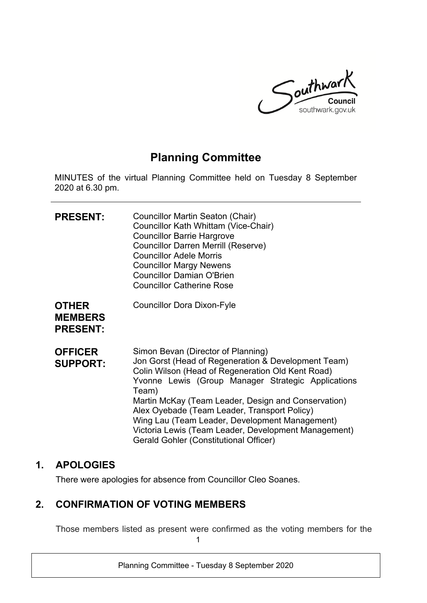

# **Planning Committee**

MINUTES of the virtual Planning Committee held on Tuesday 8 September 2020 at 6.30 pm.

| <b>PRESENT:</b>                                   | Councillor Martin Seaton (Chair)<br>Councillor Kath Whittam (Vice-Chair)<br><b>Councillor Barrie Hargrove</b><br><b>Councillor Darren Merrill (Reserve)</b><br><b>Councillor Adele Morris</b><br><b>Councillor Margy Newens</b><br><b>Councillor Damian O'Brien</b><br><b>Councillor Catherine Rose</b>                                                                                                                                                                         |
|---------------------------------------------------|---------------------------------------------------------------------------------------------------------------------------------------------------------------------------------------------------------------------------------------------------------------------------------------------------------------------------------------------------------------------------------------------------------------------------------------------------------------------------------|
| <b>OTHER</b><br><b>MEMBERS</b><br><b>PRESENT:</b> | <b>Councillor Dora Dixon-Fyle</b>                                                                                                                                                                                                                                                                                                                                                                                                                                               |
| <b>OFFICER</b><br><b>SUPPORT:</b>                 | Simon Bevan (Director of Planning)<br>Jon Gorst (Head of Regeneration & Development Team)<br>Colin Wilson (Head of Regeneration Old Kent Road)<br>Yvonne Lewis (Group Manager Strategic Applications<br>Team)<br>Martin McKay (Team Leader, Design and Conservation)<br>Alex Oyebade (Team Leader, Transport Policy)<br>Wing Lau (Team Leader, Development Management)<br>Victoria Lewis (Team Leader, Development Management)<br><b>Gerald Gohler (Constitutional Officer)</b> |

### **1. APOLOGIES**

There were apologies for absence from Councillor Cleo Soanes.

# **2. CONFIRMATION OF VOTING MEMBERS**

1 Those members listed as present were confirmed as the voting members for the

Planning Committee - Tuesday 8 September 2020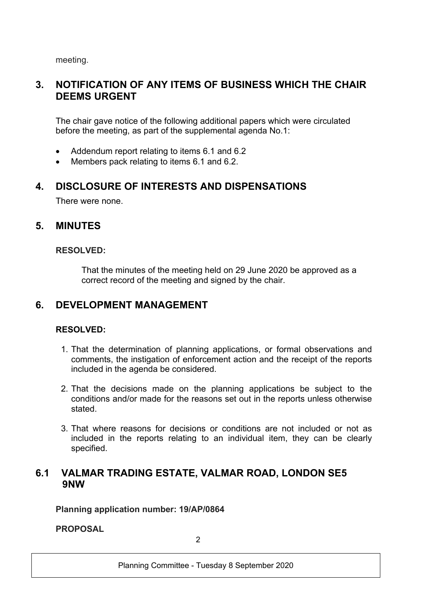meeting.

## **3. NOTIFICATION OF ANY ITEMS OF BUSINESS WHICH THE CHAIR DEEMS URGENT**

The chair gave notice of the following additional papers which were circulated before the meeting, as part of the supplemental agenda No.1:

- Addendum report relating to items 6.1 and 6.2
- Members pack relating to items 6.1 and 6.2.

### **4. DISCLOSURE OF INTERESTS AND DISPENSATIONS**

There were none.

### **5. MINUTES**

#### **RESOLVED:**

That the minutes of the meeting held on 29 June 2020 be approved as a correct record of the meeting and signed by the chair.

### **6. DEVELOPMENT MANAGEMENT**

#### **RESOLVED:**

- 1. That the determination of planning applications, or formal observations and comments, the instigation of enforcement action and the receipt of the reports included in the agenda be considered.
- 2. That the decisions made on the planning applications be subject to the conditions and/or made for the reasons set out in the reports unless otherwise stated.
- 3. That where reasons for decisions or conditions are not included or not as included in the reports relating to an individual item, they can be clearly specified.

### **6.1 VALMAR TRADING ESTATE, VALMAR ROAD, LONDON SE5 9NW**

**Planning application number: 19/AP/0864**

**PROPOSAL**

 $\mathfrak{D}$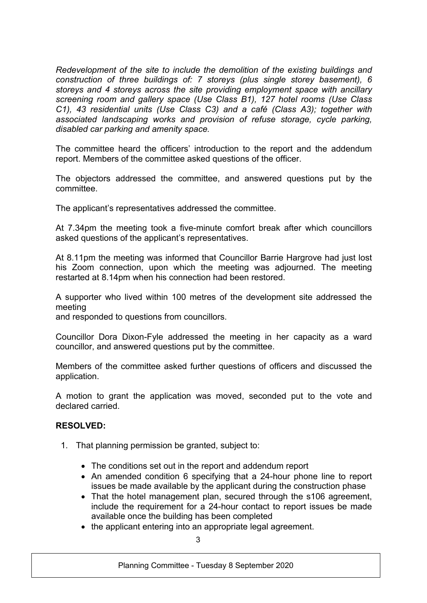*Redevelopment of the site to include the demolition of the existing buildings and construction of three buildings of: 7 storeys (plus single storey basement), 6 storeys and 4 storeys across the site providing employment space with ancillary screening room and gallery space (Use Class B1), 127 hotel rooms (Use Class C1), 43 residential units (Use Class C3) and a café (Class A3); together with associated landscaping works and provision of refuse storage, cycle parking, disabled car parking and amenity space.*

The committee heard the officers' introduction to the report and the addendum report. Members of the committee asked questions of the officer.

The objectors addressed the committee, and answered questions put by the committee.

The applicant's representatives addressed the committee.

At 7.34pm the meeting took a five-minute comfort break after which councillors asked questions of the applicant's representatives.

At 8.11pm the meeting was informed that Councillor Barrie Hargrove had just lost his Zoom connection, upon which the meeting was adjourned. The meeting restarted at 8.14pm when his connection had been restored.

A supporter who lived within 100 metres of the development site addressed the meeting

and responded to questions from councillors.

Councillor Dora Dixon-Fyle addressed the meeting in her capacity as a ward councillor, and answered questions put by the committee.

Members of the committee asked further questions of officers and discussed the application.

A motion to grant the application was moved, seconded put to the vote and declared carried.

#### **RESOLVED:**

- 1. That planning permission be granted, subject to:
	- The conditions set out in the report and addendum report
	- An amended condition 6 specifying that a 24-hour phone line to report issues be made available by the applicant during the construction phase
	- That the hotel management plan, secured through the s106 agreement, include the requirement for a 24-hour contact to report issues be made available once the building has been completed
	- the applicant entering into an appropriate legal agreement.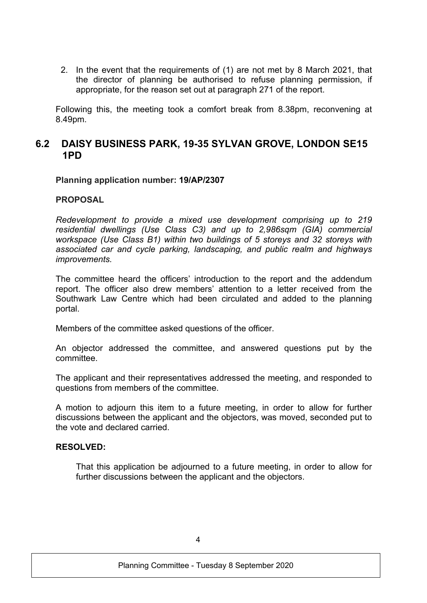2. In the event that the requirements of (1) are not met by 8 March 2021, that the director of planning be authorised to refuse planning permission, if appropriate, for the reason set out at paragraph 271 of the report.

Following this, the meeting took a comfort break from 8.38pm, reconvening at 8.49pm.

### **6.2 DAISY BUSINESS PARK, 19-35 SYLVAN GROVE, LONDON SE15 1PD**

#### **Planning application number: 19/AP/2307**

#### **PROPOSAL**

*Redevelopment to provide a mixed use development comprising up to 219 residential dwellings (Use Class C3) and up to 2,986sqm (GIA) commercial workspace (Use Class B1) within two buildings of 5 storeys and 32 storeys with associated car and cycle parking, landscaping, and public realm and highways improvements.*

The committee heard the officers' introduction to the report and the addendum report. The officer also drew members' attention to a letter received from the Southwark Law Centre which had been circulated and added to the planning portal.

Members of the committee asked questions of the officer.

An objector addressed the committee, and answered questions put by the committee.

The applicant and their representatives addressed the meeting, and responded to questions from members of the committee.

A motion to adjourn this item to a future meeting, in order to allow for further discussions between the applicant and the objectors, was moved, seconded put to the vote and declared carried.

#### **RESOLVED:**

That this application be adjourned to a future meeting, in order to allow for further discussions between the applicant and the objectors.